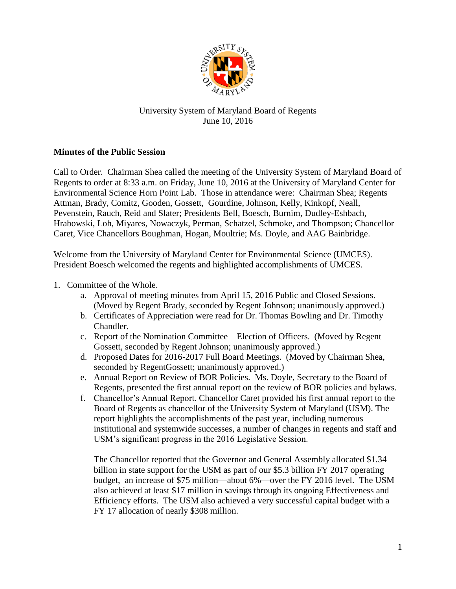

## University System of Maryland Board of Regents June 10, 2016

## **Minutes of the Public Session**

Call to Order. Chairman Shea called the meeting of the University System of Maryland Board of Regents to order at 8:33 a.m. on Friday, June 10, 2016 at the University of Maryland Center for Environmental Science Horn Point Lab. Those in attendance were: Chairman Shea; Regents Attman, Brady, Comitz, Gooden, Gossett, Gourdine, Johnson, Kelly, Kinkopf, Neall, Pevenstein, Rauch, Reid and Slater; Presidents Bell, Boesch, Burnim, Dudley-Eshbach, Hrabowski, Loh, Miyares, Nowaczyk, Perman, Schatzel, Schmoke, and Thompson; Chancellor Caret, Vice Chancellors Boughman, Hogan, Moultrie; Ms. Doyle, and AAG Bainbridge.

Welcome from the University of Maryland Center for Environmental Science (UMCES). President Boesch welcomed the regents and highlighted accomplishments of UMCES.

## 1. Committee of the Whole.

- a. Approval of meeting minutes from April 15, 2016 Public and Closed Sessions. (Moved by Regent Brady, seconded by Regent Johnson; unanimously approved.)
- b. Certificates of Appreciation were read for Dr. Thomas Bowling and Dr. Timothy Chandler.
- c. Report of the Nomination Committee Election of Officers. (Moved by Regent Gossett, seconded by Regent Johnson; unanimously approved.)
- d. Proposed Dates for 2016-2017 Full Board Meetings. (Moved by Chairman Shea, seconded by RegentGossett; unanimously approved.)
- e. Annual Report on Review of BOR Policies. Ms. Doyle, Secretary to the Board of Regents, presented the first annual report on the review of BOR policies and bylaws.
- f. Chancellor's Annual Report. Chancellor Caret provided his first annual report to the Board of Regents as chancellor of the University System of Maryland (USM). The report highlights the accomplishments of the past year, including numerous institutional and systemwide successes, a number of changes in regents and staff and USM's significant progress in the 2016 Legislative Session.

The Chancellor reported that the Governor and General Assembly allocated \$1.34 billion in state support for the USM as part of our \$5.3 billion FY 2017 operating budget, an increase of \$75 million—about 6%—over the FY 2016 level. The USM also achieved at least \$17 million in savings through its ongoing Effectiveness and Efficiency efforts. The USM also achieved a very successful capital budget with a FY 17 allocation of nearly \$308 million.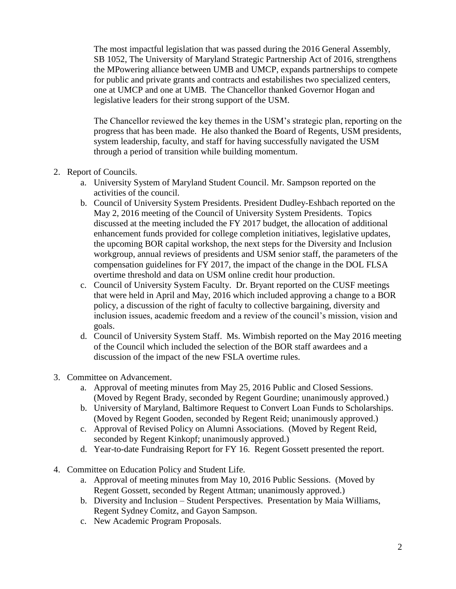The most impactful legislation that was passed during the 2016 General Assembly, SB 1052, The University of Maryland Strategic Partnership Act of 2016, strengthens the MPowering alliance between UMB and UMCP, expands partnerships to compete for public and private grants and contracts and estabilishes two specialized centers, one at UMCP and one at UMB. The Chancellor thanked Governor Hogan and legislative leaders for their strong support of the USM.

The Chancellor reviewed the key themes in the USM's strategic plan, reporting on the progress that has been made. He also thanked the Board of Regents, USM presidents, system leadership, faculty, and staff for having successfully navigated the USM through a period of transition while building momentum.

- 2. Report of Councils.
	- a. University System of Maryland Student Council. Mr. Sampson reported on the activities of the council.
	- b. Council of University System Presidents. President Dudley-Eshbach reported on the May 2, 2016 meeting of the Council of University System Presidents. Topics discussed at the meeting included the FY 2017 budget, the allocation of additional enhancement funds provided for college completion initiatives, legislative updates, the upcoming BOR capital workshop, the next steps for the Diversity and Inclusion workgroup, annual reviews of presidents and USM senior staff, the parameters of the compensation guidelines for FY 2017, the impact of the change in the DOL FLSA overtime threshold and data on USM online credit hour production.
	- c. Council of University System Faculty. Dr. Bryant reported on the CUSF meetings that were held in April and May, 2016 which included approving a change to a BOR policy, a discussion of the right of faculty to collective bargaining, diversity and inclusion issues, academic freedom and a review of the council's mission, vision and goals.
	- d. Council of University System Staff. Ms. Wimbish reported on the May 2016 meeting of the Council which included the selection of the BOR staff awardees and a discussion of the impact of the new FSLA overtime rules.
- 3. Committee on Advancement.
	- a. Approval of meeting minutes from May 25, 2016 Public and Closed Sessions. (Moved by Regent Brady, seconded by Regent Gourdine; unanimously approved.)
	- b. University of Maryland, Baltimore Request to Convert Loan Funds to Scholarships. (Moved by Regent Gooden, seconded by Regent Reid; unanimously approved.)
	- c. Approval of Revised Policy on Alumni Associations. (Moved by Regent Reid, seconded by Regent Kinkopf; unanimously approved.)
	- d. Year-to-date Fundraising Report for FY 16. Regent Gossett presented the report.
- 4. Committee on Education Policy and Student Life.
	- a. Approval of meeting minutes from May 10, 2016 Public Sessions. (Moved by Regent Gossett, seconded by Regent Attman; unanimously approved.)
	- b. Diversity and Inclusion Student Perspectives. Presentation by Maia Williams, Regent Sydney Comitz, and Gayon Sampson.
	- c. New Academic Program Proposals.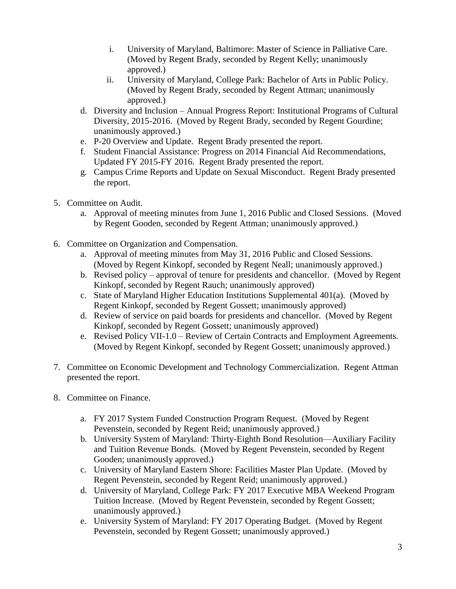- i. University of Maryland, Baltimore: Master of Science in Palliative Care. (Moved by Regent Brady, seconded by Regent Kelly; unanimously approved.)
- ii. University of Maryland, College Park: Bachelor of Arts in Public Policy. (Moved by Regent Brady, seconded by Regent Attman; unanimously approved.)
- d. Diversity and Inclusion Annual Progress Report: Institutional Programs of Cultural Diversity, 2015-2016. (Moved by Regent Brady, seconded by Regent Gourdine; unanimously approved.)
- e. P-20 Overview and Update. Regent Brady presented the report.
- f. Student Financial Assistance: Progress on 2014 Financial Aid Recommendations, Updated FY 2015-FY 2016. Regent Brady presented the report.
- g. Campus Crime Reports and Update on Sexual Misconduct. Regent Brady presented the report.
- 5. Committee on Audit.
	- a. Approval of meeting minutes from June 1, 2016 Public and Closed Sessions. (Moved by Regent Gooden, seconded by Regent Attman; unanimously approved.)
- 6. Committee on Organization and Compensation.
	- a. Approval of meeting minutes from May 31, 2016 Public and Closed Sessions. (Moved by Regent Kinkopf, seconded by Regent Neall; unanimously approved.)
	- b. Revised policy approval of tenure for presidents and chancellor. (Moved by Regent Kinkopf, seconded by Regent Rauch; unanimously approved)
	- c. State of Maryland Higher Education Institutions Supplemental 401(a). (Moved by Regent Kinkopf, seconded by Regent Gossett; unanimously approved)
	- d. Review of service on paid boards for presidents and chancellor. (Moved by Regent Kinkopf, seconded by Regent Gossett; unanimously approved)
	- e. Revised Policy VII-1.0 Review of Certain Contracts and Employment Agreements. (Moved by Regent Kinkopf, seconded by Regent Gossett; unanimously approved.)
- 7. Committee on Economic Development and Technology Commercialization. Regent Attman presented the report.
- 8. Committee on Finance.
	- a. FY 2017 System Funded Construction Program Request. (Moved by Regent Pevenstein, seconded by Regent Reid; unanimously approved.)
	- b. University System of Maryland: Thirty-Eighth Bond Resolution—Auxiliary Facility and Tuition Revenue Bonds. (Moved by Regent Pevenstein, seconded by Regent Gooden; unanimously approved.)
	- c. University of Maryland Eastern Shore: Facilities Master Plan Update. (Moved by Regent Pevenstein, seconded by Regent Reid; unanimously approved.)
	- d. University of Maryland, College Park: FY 2017 Executive MBA Weekend Program Tuition Increase. (Moved by Regent Pevenstein, seconded by Regent Gossett; unanimously approved.)
	- e. University System of Maryland: FY 2017 Operating Budget. (Moved by Regent Pevenstein, seconded by Regent Gossett; unanimously approved.)